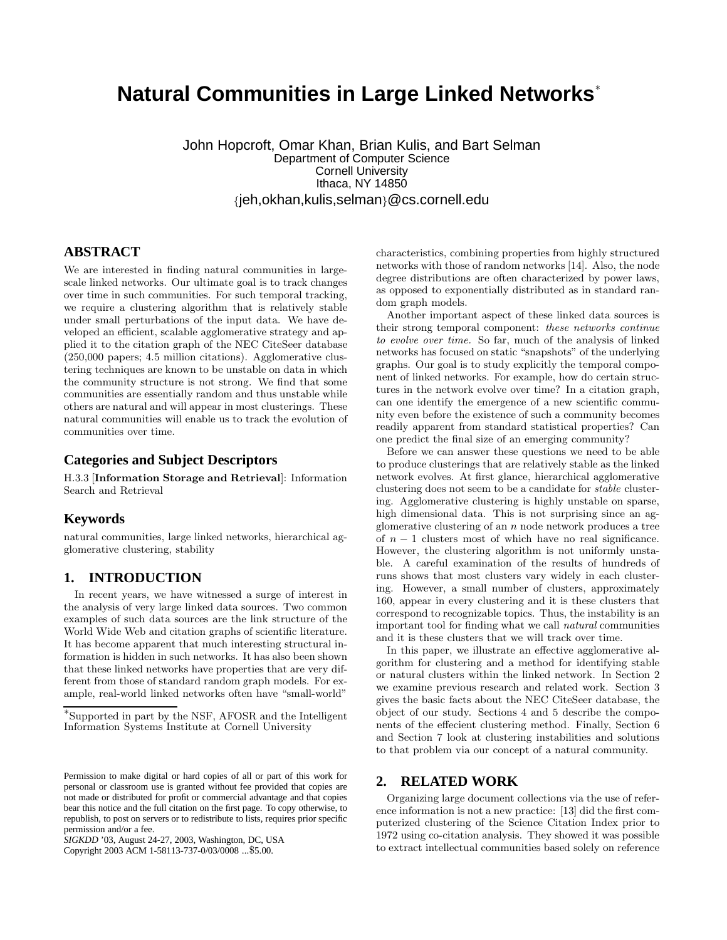# **Natural Communities in Large Linked Networks**<sup>∗</sup>

John Hopcroft, Omar Khan, Brian Kulis, and Bart Selman Department of Computer Science Cornell University Ithaca, NY 14850 {jeh,okhan,kulis,selman}@cs.cornell.edu

# **ABSTRACT**

We are interested in finding natural communities in largescale linked networks. Our ultimate goal is to track changes over time in such communities. For such temporal tracking, we require a clustering algorithm that is relatively stable under small perturbations of the input data. We have developed an efficient, scalable agglomerative strategy and applied it to the citation graph of the NEC CiteSeer database (250,000 papers; 4.5 million citations). Agglomerative clustering techniques are known to be unstable on data in which the community structure is not strong. We find that some communities are essentially random and thus unstable while others are natural and will appear in most clusterings. These natural communities will enable us to track the evolution of communities over time.

#### **Categories and Subject Descriptors**

H.3.3 [Information Storage and Retrieval]: Information Search and Retrieval

#### **Keywords**

natural communities, large linked networks, hierarchical agglomerative clustering, stability

#### **1. INTRODUCTION**

In recent years, we have witnessed a surge of interest in the analysis of very large linked data sources. Two common examples of such data sources are the link structure of the World Wide Web and citation graphs of scientific literature. It has become apparent that much interesting structural information is hidden in such networks. It has also been shown that these linked networks have properties that are very different from those of standard random graph models. For example, real-world linked networks often have "small-world"

Copyright 2003 ACM 1-58113-737-0/03/0008 ...\$5.00.

characteristics, combining properties from highly structured networks with those of random networks [14]. Also, the node degree distributions are often characterized by power laws, as opposed to exponentially distributed as in standard random graph models.

Another important aspect of these linked data sources is their strong temporal component: these networks continue to evolve over time. So far, much of the analysis of linked networks has focused on static "snapshots" of the underlying graphs. Our goal is to study explicitly the temporal component of linked networks. For example, how do certain structures in the network evolve over time? In a citation graph, can one identify the emergence of a new scientific community even before the existence of such a community becomes readily apparent from standard statistical properties? Can one predict the final size of an emerging community?

Before we can answer these questions we need to be able to produce clusterings that are relatively stable as the linked network evolves. At first glance, hierarchical agglomerative clustering does not seem to be a candidate for stable clustering. Agglomerative clustering is highly unstable on sparse, high dimensional data. This is not surprising since an agglomerative clustering of an  $n$  node network produces a tree of  $n - 1$  clusters most of which have no real significance. However, the clustering algorithm is not uniformly unstable. A careful examination of the results of hundreds of runs shows that most clusters vary widely in each clustering. However, a small number of clusters, approximately 160, appear in every clustering and it is these clusters that correspond to recognizable topics. Thus, the instability is an important tool for finding what we call natural communities and it is these clusters that we will track over time.

In this paper, we illustrate an effective agglomerative algorithm for clustering and a method for identifying stable or natural clusters within the linked network. In Section 2 we examine previous research and related work. Section 3 gives the basic facts about the NEC CiteSeer database, the object of our study. Sections 4 and 5 describe the components of the effecient clustering method. Finally, Section 6 and Section 7 look at clustering instabilities and solutions to that problem via our concept of a natural community.

#### **2. RELATED WORK**

Organizing large document collections via the use of reference information is not a new practice: [13] did the first computerized clustering of the Science Citation Index prior to 1972 using co-citation analysis. They showed it was possible to extract intellectual communities based solely on reference

<sup>∗</sup> Supported in part by the NSF, AFOSR and the Intelligent Information Systems Institute at Cornell University

Permission to make digital or hard copies of all or part of this work for personal or classroom use is granted without fee provided that copies are not made or distributed for profit or commercial advantage and that copies bear this notice and the full citation on the first page. To copy otherwise, to republish, to post on servers or to redistribute to lists, requires prior specific permission and/or a fee.

*SIGKDD* '03, August 24-27, 2003, Washington, DC, USA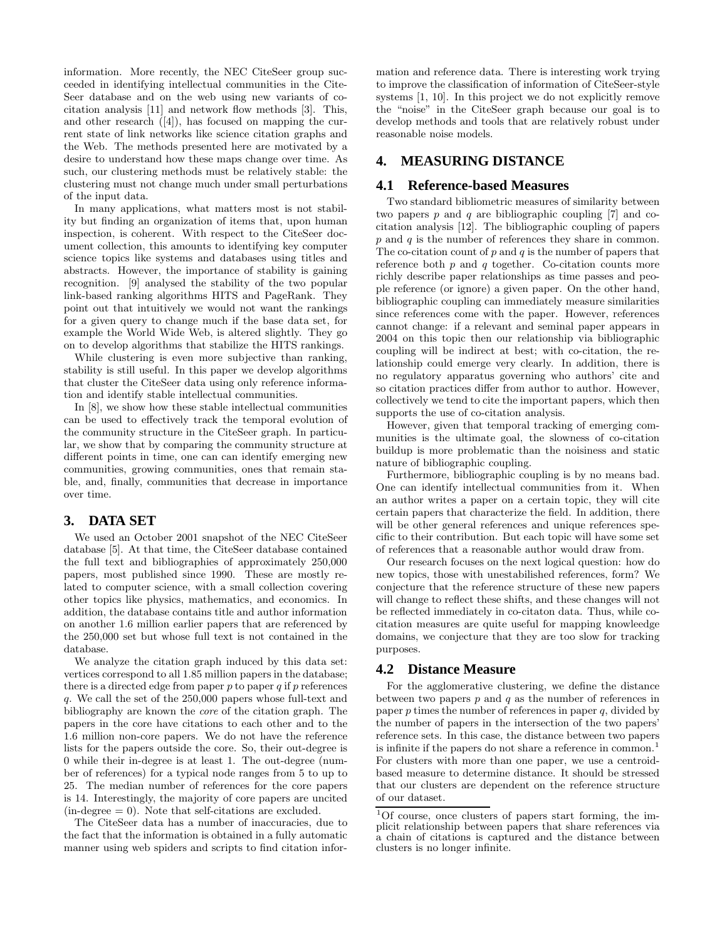information. More recently, the NEC CiteSeer group succeeded in identifying intellectual communities in the Cite-Seer database and on the web using new variants of cocitation analysis [11] and network flow methods [3]. This, and other research ([4]), has focused on mapping the current state of link networks like science citation graphs and the Web. The methods presented here are motivated by a desire to understand how these maps change over time. As such, our clustering methods must be relatively stable: the clustering must not change much under small perturbations of the input data.

In many applications, what matters most is not stability but finding an organization of items that, upon human inspection, is coherent. With respect to the CiteSeer document collection, this amounts to identifying key computer science topics like systems and databases using titles and abstracts. However, the importance of stability is gaining recognition. [9] analysed the stability of the two popular link-based ranking algorithms HITS and PageRank. They point out that intuitively we would not want the rankings for a given query to change much if the base data set, for example the World Wide Web, is altered slightly. They go on to develop algorithms that stabilize the HITS rankings.

While clustering is even more subjective than ranking, stability is still useful. In this paper we develop algorithms that cluster the CiteSeer data using only reference information and identify stable intellectual communities.

In [8], we show how these stable intellectual communities can be used to effectively track the temporal evolution of the community structure in the CiteSeer graph. In particular, we show that by comparing the community structure at different points in time, one can can identify emerging new communities, growing communities, ones that remain stable, and, finally, communities that decrease in importance over time.

## **3. DATA SET**

We used an October 2001 snapshot of the NEC CiteSeer database [5]. At that time, the CiteSeer database contained the full text and bibliographies of approximately 250,000 papers, most published since 1990. These are mostly related to computer science, with a small collection covering other topics like physics, mathematics, and economics. In addition, the database contains title and author information on another 1.6 million earlier papers that are referenced by the 250,000 set but whose full text is not contained in the database.

We analyze the citation graph induced by this data set: vertices correspond to all 1.85 million papers in the database; there is a directed edge from paper  $p$  to paper  $q$  if  $p$  references q. We call the set of the 250,000 papers whose full-text and bibliography are known the core of the citation graph. The papers in the core have citations to each other and to the 1.6 million non-core papers. We do not have the reference lists for the papers outside the core. So, their out-degree is 0 while their in-degree is at least 1. The out-degree (number of references) for a typical node ranges from 5 to up to 25. The median number of references for the core papers is 14. Interestingly, the majority of core papers are uncited  $(in-degree = 0)$ . Note that self-citations are excluded.

The CiteSeer data has a number of inaccuracies, due to the fact that the information is obtained in a fully automatic manner using web spiders and scripts to find citation information and reference data. There is interesting work trying to improve the classification of information of CiteSeer-style systems [1, 10]. In this project we do not explicitly remove the "noise" in the CiteSeer graph because our goal is to develop methods and tools that are relatively robust under reasonable noise models.

## **4. MEASURING DISTANCE**

#### **4.1 Reference-based Measures**

Two standard bibliometric measures of similarity between two papers  $p$  and  $q$  are bibliographic coupling [7] and cocitation analysis [12]. The bibliographic coupling of papers  $p$  and  $q$  is the number of references they share in common. The co-citation count of  $p$  and  $q$  is the number of papers that reference both  $p$  and  $q$  together. Co-citation counts more richly describe paper relationships as time passes and people reference (or ignore) a given paper. On the other hand, bibliographic coupling can immediately measure similarities since references come with the paper. However, references cannot change: if a relevant and seminal paper appears in 2004 on this topic then our relationship via bibliographic coupling will be indirect at best; with co-citation, the relationship could emerge very clearly. In addition, there is no regulatory apparatus governing who authors' cite and so citation practices differ from author to author. However, collectively we tend to cite the important papers, which then supports the use of co-citation analysis.

However, given that temporal tracking of emerging communities is the ultimate goal, the slowness of co-citation buildup is more problematic than the noisiness and static nature of bibliographic coupling.

Furthermore, bibliographic coupling is by no means bad. One can identify intellectual communities from it. When an author writes a paper on a certain topic, they will cite certain papers that characterize the field. In addition, there will be other general references and unique references specific to their contribution. But each topic will have some set of references that a reasonable author would draw from.

Our research focuses on the next logical question: how do new topics, those with unestabilished references, form? We conjecture that the reference structure of these new papers will change to reflect these shifts, and these changes will not be reflected immediately in co-citaton data. Thus, while cocitation measures are quite useful for mapping knowleedge domains, we conjecture that they are too slow for tracking purposes.

#### **4.2 Distance Measure**

For the agglomerative clustering, we define the distance between two papers  $p$  and  $q$  as the number of references in paper  $p$  times the number of references in paper  $q$ , divided by the number of papers in the intersection of the two papers' reference sets. In this case, the distance between two papers is infinite if the papers do not share a reference in common.<sup>1</sup> For clusters with more than one paper, we use a centroidbased measure to determine distance. It should be stressed that our clusters are dependent on the reference structure of our dataset.

<sup>1</sup>Of course, once clusters of papers start forming, the implicit relationship between papers that share references via a chain of citations is captured and the distance between clusters is no longer infinite.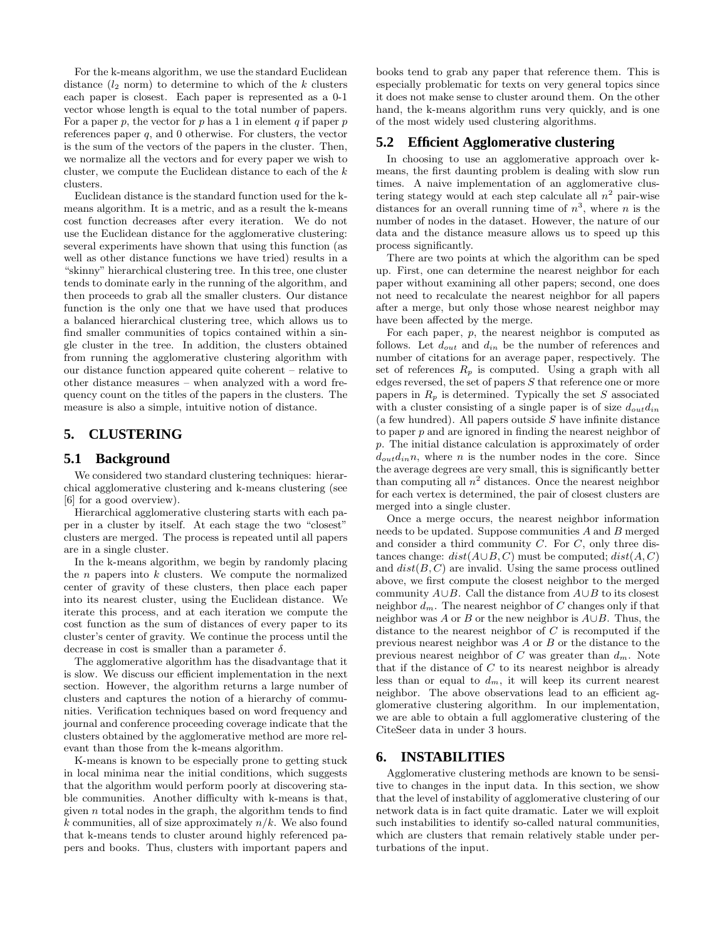For the k-means algorithm, we use the standard Euclidean distance  $(l_2 \text{ norm})$  to determine to which of the k clusters each paper is closest. Each paper is represented as a 0-1 vector whose length is equal to the total number of papers. For a paper p, the vector for p has a 1 in element q if paper  $p$ references paper  $q$ , and  $0$  otherwise. For clusters, the vector is the sum of the vectors of the papers in the cluster. Then, we normalize all the vectors and for every paper we wish to cluster, we compute the Euclidean distance to each of the k clusters.

Euclidean distance is the standard function used for the kmeans algorithm. It is a metric, and as a result the k-means cost function decreases after every iteration. We do not use the Euclidean distance for the agglomerative clustering: several experiments have shown that using this function (as well as other distance functions we have tried) results in a "skinny" hierarchical clustering tree. In this tree, one cluster tends to dominate early in the running of the algorithm, and then proceeds to grab all the smaller clusters. Our distance function is the only one that we have used that produces a balanced hierarchical clustering tree, which allows us to find smaller communities of topics contained within a single cluster in the tree. In addition, the clusters obtained from running the agglomerative clustering algorithm with our distance function appeared quite coherent – relative to other distance measures – when analyzed with a word frequency count on the titles of the papers in the clusters. The measure is also a simple, intuitive notion of distance.

#### **5. CLUSTERING**

#### **5.1 Background**

We considered two standard clustering techniques: hierarchical agglomerative clustering and k-means clustering (see [6] for a good overview).

Hierarchical agglomerative clustering starts with each paper in a cluster by itself. At each stage the two "closest" clusters are merged. The process is repeated until all papers are in a single cluster.

In the k-means algorithm, we begin by randomly placing the  $n$  papers into  $k$  clusters. We compute the normalized center of gravity of these clusters, then place each paper into its nearest cluster, using the Euclidean distance. We iterate this process, and at each iteration we compute the cost function as the sum of distances of every paper to its cluster's center of gravity. We continue the process until the decrease in cost is smaller than a parameter  $\delta$ .

The agglomerative algorithm has the disadvantage that it is slow. We discuss our efficient implementation in the next section. However, the algorithm returns a large number of clusters and captures the notion of a hierarchy of communities. Verification techniques based on word frequency and journal and conference proceeding coverage indicate that the clusters obtained by the agglomerative method are more relevant than those from the k-means algorithm.

K-means is known to be especially prone to getting stuck in local minima near the initial conditions, which suggests that the algorithm would perform poorly at discovering stable communities. Another difficulty with k-means is that, given  $n$  total nodes in the graph, the algorithm tends to find k communities, all of size approximately  $n/k$ . We also found that k-means tends to cluster around highly referenced papers and books. Thus, clusters with important papers and books tend to grab any paper that reference them. This is especially problematic for texts on very general topics since it does not make sense to cluster around them. On the other hand, the k-means algorithm runs very quickly, and is one of the most widely used clustering algorithms.

#### **5.2 Efficient Agglomerative clustering**

In choosing to use an agglomerative approach over kmeans, the first daunting problem is dealing with slow run times. A naive implementation of an agglomerative clustering stategy would at each step calculate all  $n^2$  pair-wise distances for an overall running time of  $n^3$ , where *n* is the number of nodes in the dataset. However, the nature of our data and the distance measure allows us to speed up this process significantly.

There are two points at which the algorithm can be sped up. First, one can determine the nearest neighbor for each paper without examining all other papers; second, one does not need to recalculate the nearest neighbor for all papers after a merge, but only those whose nearest neighbor may have been affected by the merge.

For each paper, p, the nearest neighbor is computed as follows. Let  $d_{out}$  and  $d_{in}$  be the number of references and number of citations for an average paper, respectively. The set of references  $R_p$  is computed. Using a graph with all edges reversed, the set of papers S that reference one or more papers in  $R_p$  is determined. Typically the set S associated with a cluster consisting of a single paper is of size  $d_{out}d_{in}$ (a few hundred). All papers outside  $S$  have infinite distance to paper  $p$  and are ignored in finding the nearest neighbor of p. The initial distance calculation is approximately of order  $d_{out}d_{in}n$ , where *n* is the number nodes in the core. Since the average degrees are very small, this is significantly better than computing all  $n^2$  distances. Once the nearest neighbor for each vertex is determined, the pair of closest clusters are merged into a single cluster.

Once a merge occurs, the nearest neighbor information needs to be updated. Suppose communities A and B merged and consider a third community  $C$ . For  $C$ , only three distances change:  $dist(A \cup B, C)$  must be computed;  $dist(A, C)$ and  $dist(B, C)$  are invalid. Using the same process outlined above, we first compute the closest neighbor to the merged community  $A\cup B$ . Call the distance from  $A\cup B$  to its closest neighbor  $d_m$ . The nearest neighbor of C changes only if that neighbor was A or B or the new neighbor is  $A\cup B$ . Thus, the distance to the nearest neighbor of  $C$  is recomputed if the previous nearest neighbor was A or B or the distance to the previous nearest neighbor of C was greater than  $d_m$ . Note that if the distance of  $C$  to its nearest neighbor is already less than or equal to  $d_m$ , it will keep its current nearest neighbor. The above observations lead to an efficient agglomerative clustering algorithm. In our implementation, we are able to obtain a full agglomerative clustering of the CiteSeer data in under 3 hours.

### **6. INSTABILITIES**

Agglomerative clustering methods are known to be sensitive to changes in the input data. In this section, we show that the level of instability of agglomerative clustering of our network data is in fact quite dramatic. Later we will exploit such instabilities to identify so-called natural communities, which are clusters that remain relatively stable under perturbations of the input.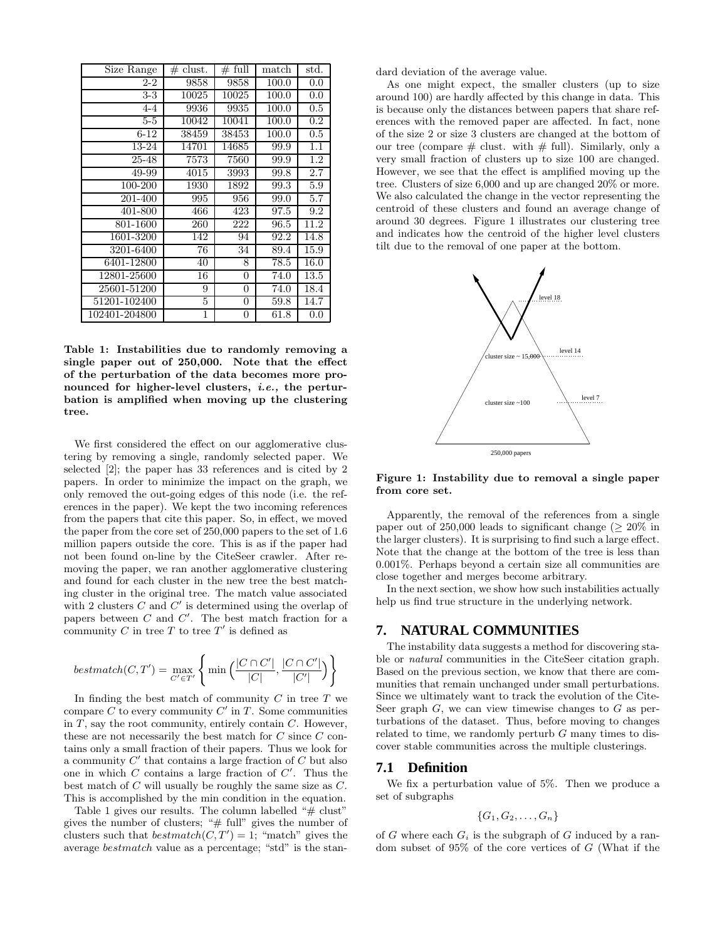| Size Range    | $\#$ clust. | # full         | $\operatorname{match}$ | std.    |
|---------------|-------------|----------------|------------------------|---------|
| $2 - 2$       | 9858        | 9858           | 100.0                  | 0.0     |
| $3-3$         | 10025       | 10025          | 100.0                  | 0.0     |
| $4 - 4$       | 9936        | 9935           | 100.0                  | 0.5     |
| $5 - 5$       | 10042       | 10041          | 100.0                  | 0.2     |
| $6 - 12$      | 38459       | 38453          | 100.0                  | $0.5\,$ |
| 13-24         | 14701       | 14685          | 99.9                   | 1.1     |
| 25-48         | 7573        | 7560           | 99.9                   | $1.2\,$ |
| 49-99         | 4015        | 3993           | 99.8                   | 2.7     |
| 100-200       | 1930        | 1892           | 99.3                   | 5.9     |
| 201-400       | 995         | 956            | 99.0                   | 5.7     |
| 401-800       | 466         | 423            | 97.5                   | 9.2     |
| 801-1600      | 260         | 222            | 96.5                   | 11.2    |
| 1601-3200     | 142         | 94             | 92.2                   | 14.8    |
| 3201-6400     | 76          | 34             | 89.4                   | 15.9    |
| 6401-12800    | 40          | 8              | 78.5                   | 16.0    |
| 12801-25600   | 16          | $\overline{0}$ | 74.0                   | 13.5    |
| 25601-51200   | 9           | 0              | 74.0                   | 18.4    |
| 51201-102400  | 5           | 0              | 59.8                   | 14.7    |
| 102401-204800 | 1           | 0              | 61.8                   | 0.0     |

Table 1: Instabilities due to randomly removing a single paper out of 250,000. Note that the effect of the perturbation of the data becomes more pronounced for higher-level clusters, i.e., the perturbation is amplified when moving up the clustering tree.

We first considered the effect on our agglomerative clustering by removing a single, randomly selected paper. We selected [2]; the paper has 33 references and is cited by 2 papers. In order to minimize the impact on the graph, we only removed the out-going edges of this node (i.e. the references in the paper). We kept the two incoming references from the papers that cite this paper. So, in effect, we moved the paper from the core set of 250,000 papers to the set of 1.6 million papers outside the core. This is as if the paper had not been found on-line by the CiteSeer crawler. After removing the paper, we ran another agglomerative clustering and found for each cluster in the new tree the best matching cluster in the original tree. The match value associated with 2 clusters  $C$  and  $C'$  is determined using the overlap of papers between  $C$  and  $C'$ . The best match fraction for a community C in tree T to tree  $T'$  is defined as

$$
bestmatch(C, T') = \max_{C' \in T'} \left\{ \min \left( \frac{|C \cap C'|}{|C|}, \frac{|C \cap C'|}{|C'|} \right) \right\}
$$

In finding the best match of community  $C$  in tree  $T$  we compare  $\overline{C}$  to every community  $C'$  in  $T$ . Some communities in  $T$ , say the root community, entirely contain  $C$ . However, these are not necessarily the best match for C since C contains only a small fraction of their papers. Thus we look for a community  $C'$  that contains a large fraction of  $C$  but also one in which  $C$  contains a large fraction of  $C'$ . Thus the best match of C will usually be roughly the same size as C. This is accomplished by the min condition in the equation.

Table 1 gives our results. The column labelled "# clust" gives the number of clusters; " $#$  full" gives the number of clusters such that  $bestmatch(C, T') = 1$ ; "match" gives the average bestmatch value as a percentage; "std" is the standard deviation of the average value.

As one might expect, the smaller clusters (up to size around 100) are hardly affected by this change in data. This is because only the distances between papers that share references with the removed paper are affected. In fact, none of the size 2 or size 3 clusters are changed at the bottom of our tree (compare  $\#$  clust. with  $\#$  full). Similarly, only a very small fraction of clusters up to size 100 are changed. However, we see that the effect is amplified moving up the tree. Clusters of size 6,000 and up are changed 20% or more. We also calculated the change in the vector representing the centroid of these clusters and found an average change of around 30 degrees. Figure 1 illustrates our clustering tree and indicates how the centroid of the higher level clusters tilt due to the removal of one paper at the bottom.



Figure 1: Instability due to removal a single paper from core set.

Apparently, the removal of the references from a single paper out of  $250,000$  leads to significant change ( $> 20\%$  in the larger clusters). It is surprising to find such a large effect. Note that the change at the bottom of the tree is less than 0.001%. Perhaps beyond a certain size all communities are close together and merges become arbitrary.

In the next section, we show how such instabilities actually help us find true structure in the underlying network.

## **7. NATURAL COMMUNITIES**

 munities that remain unchanged under small perturbations. The instability data suggests a method for discovering stable or natural communities in the CiteSeer citation graph. Based on the previous section, we know that there are com-Since we ultimately want to track the evolution of the Cite-Seer graph  $G$ , we can view timewise changes to  $G$  as perturbations of the dataset. Thus, before moving to changes related to time, we randomly perturb  $G$  many times to discover stable communities across the multiple clusterings.

#### **7.1 Definition**

We fix a perturbation value of 5%. Then we produce a set of subgraphs

$$
\{G_1, G_2, \ldots, G_n\}
$$

of G where each  $G_i$  is the subgraph of G induced by a random subset of 95% of the core vertices of G (What if the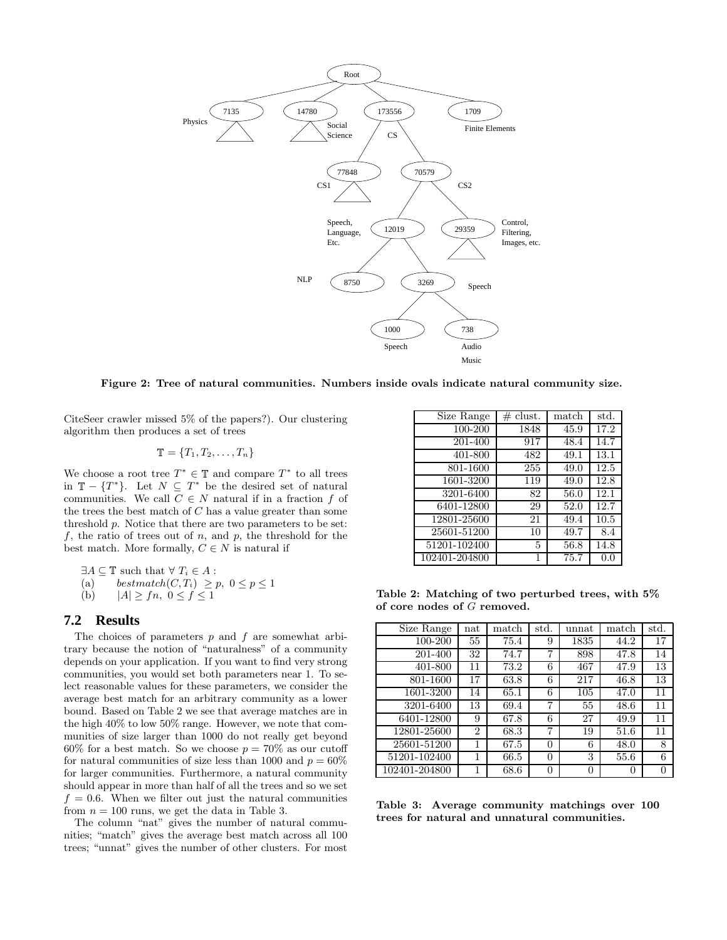

Figure 2: Tree of natural communities. Numbers inside ovals indicate natural community size.

CiteSeer crawler missed 5% of the papers?). Our clustering algorithm then produces a set of trees

$$
\mathbb{T} = \{T_1, T_2, \ldots, T_n\}
$$

We choose a root tree  $T^* \in \mathbb{T}$  and compare  $T^*$  to all trees in  $\mathbb{T} - \{T^*\}$ . Let  $N \subseteq T^*$  be the desired set of natural communities. We call  $C \in N$  natural if in a fraction f of the trees the best match of  $C$  has a value greater than some threshold p. Notice that there are two parameters to be set:  $f$ , the ratio of trees out of n, and p, the threshold for the best match. More formally,  $C \in N$  is natural if

 $\exists A \subseteq \mathbb{T}$  such that  $\forall T_i \in A$ : (a) bestmatch(C,T<sub>i</sub>)  $\geq p, 0 \leq p \leq 1$ (b)  $|A| > fn, 0 \leq f \leq 1$ 

#### **7.2 Results**

The choices of parameters  $p$  and  $f$  are somewhat arbitrary because the notion of "naturalness" of a community depends on your application. If you want to find very strong communities, you would set both parameters near 1. To select reasonable values for these parameters, we consider the average best match for an arbitrary community as a lower bound. Based on Table 2 we see that average matches are in the high 40% to low 50% range. However, we note that communities of size larger than 1000 do not really get beyond  $60\%$  for a best match. So we choose  $p = 70\%$  as our cutoff for natural communities of size less than 1000 and  $p = 60\%$ for larger communities. Furthermore, a natural community should appear in more than half of all the trees and so we set  $f = 0.6$ . When we filter out just the natural communities from  $n = 100$  runs, we get the data in Table 3.

The column "nat" gives the number of natural communities; "match" gives the average best match across all 100 trees; "unnat" gives the number of other clusters. For most

| Size Range    | clust.<br># | match | std. |
|---------------|-------------|-------|------|
| 100-200       | 1848        | 45.9  | 17.2 |
| 201-400       | 917         | 48.4  | 14.7 |
| 401-800       | 482         | 49.1  | 13.1 |
| 801-1600      | 255         | 49.0  | 12.5 |
| 1601-3200     | 119         | 49.0  | 12.8 |
| 3201-6400     | 82          | 56.0  | 12.1 |
| 6401-12800    | 29          | 52.0  | 12.7 |
| 12801-25600   | 21          | 49.4  | 10.5 |
| 25601-51200   | 10          | 49.7  | 8.4  |
| 51201-102400  | 5           | 56.8  | 14.8 |
| 102401-204800 | 1           | 75.7  | 0.0  |

Table 2: Matching of two perturbed trees, with 5% of core nodes of G removed.

| Size Range    | $_{\rm nat}$   | $\mathop{\rm match}$ | std.     | unnat | match        | std.     |
|---------------|----------------|----------------------|----------|-------|--------------|----------|
| 100-200       | 55             | 75.4                 | 9        | 1835  | 44.2         | 17       |
| 201-400       | 32             | 74.7                 | 7        | 898   | 47.8         | 14       |
| 401-800       | 11             | 73.2                 | 6        | 467   | 47.9         | 13       |
| 801-1600      | 17             | 63.8                 | 6        | 217   | 46.8         | 13       |
| 1601-3200     | 14             | 65.1                 | 6        | 105   | 47.0         | 11       |
| 3201-6400     | 13             | 69.4                 | 7        | 55    | 48.6         | 11       |
| 6401-12800    | 9              | 67.8                 | 6        | 27    | 49.9         | 11       |
| 12801-25600   | $\overline{2}$ | 68.3                 | 7        | 19    | 51.6         | 11       |
| 25601-51200   | 1              | 67.5                 | $\Omega$ | 6     | 48.0         | 8        |
| 51201-102400  | 1              | 66.5                 | 0        | 3     | 55.6         | 6        |
| 102401-204800 |                | 68.6                 | 0        | 0     | $\mathbf{0}$ | $\Omega$ |

Table 3: Average community matchings over 100 trees for natural and unnatural communities.